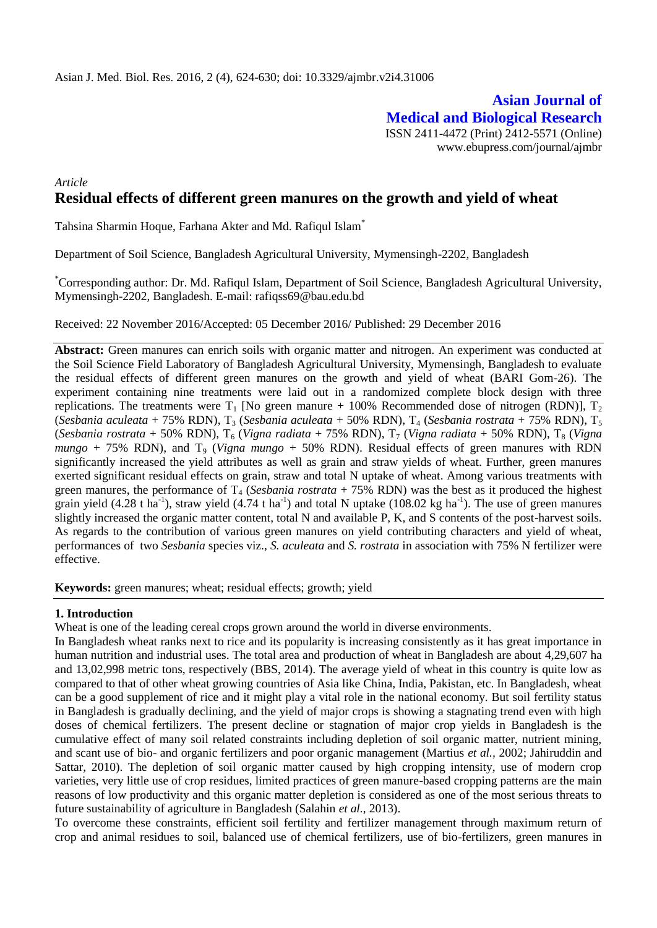**Asian Journal of Medical and Biological Research** ISSN 2411-4472 (Print) 2412-5571 (Online) www.ebupress.com/journal/ajmbr

# *Article* **Residual effects of different green manures on the growth and yield of wheat**

Tahsina Sharmin Hoque, Farhana Akter and Md. Rafiqul Islam\*

Department of Soil Science, Bangladesh Agricultural University, Mymensingh-2202, Bangladesh

\*Corresponding author: Dr. Md. Rafiqul Islam, Department of Soil Science, Bangladesh Agricultural University, Mymensingh-2202, Bangladesh. E-mail: rafiqss69@bau.edu.bd

Received: 22 November 2016/Accepted: 05 December 2016/ Published: 29 December 2016

Abstract: Green manures can enrich soils with organic matter and nitrogen. An experiment was conducted at the Soil Science Field Laboratory of Bangladesh Agricultural University, Mymensingh, Bangladesh to evaluate the residual effects of different green manures on the growth and yield of wheat (BARI Gom-26). The experiment containing nine treatments were laid out in a randomized complete block design with three replications. The treatments were  $T_1$  [No green manure + 100% Recommended dose of nitrogen (RDN)],  $T_2$ (*Sesbania aculeata* + 75% RDN), T<sup>3</sup> (*Sesbania aculeata* + 50% RDN), T<sup>4</sup> (*Sesbania rostrata* + 75% RDN), T<sup>5</sup> (*Sesbania rostrata* + 50% RDN), T<sub>6</sub> (*Vigna radiata* + 75% RDN), T<sub>7</sub> (*Vigna radiata* + 50% RDN), T<sub>8</sub> (*Vigna*  $mungo + 75\%$  RDN), and T<sub>9</sub> (*Vigna mungo*  $+ 50\%$  RDN). Residual effects of green manures with RDN significantly increased the yield attributes as well as grain and straw yields of wheat. Further, green manures exerted significant residual effects on grain, straw and total N uptake of wheat. Among various treatments with green manures, the performance of  $T_4$  (*Sesbania rostrata* + 75% RDN) was the best as it produced the highest grain yield (4.28 t ha<sup>-1</sup>), straw yield (4.74 t ha<sup>-1</sup>) and total N uptake (108.02 kg ha<sup>-1</sup>). The use of green manures slightly increased the organic matter content, total N and available P, K, and S contents of the post-harvest soils. As regards to the contribution of various green manures on yield contributing characters and yield of wheat, performances of two *Sesbania* species viz., *S. aculeata* and *S. rostrata* in association with 75% N fertilizer were effective.

**Keywords:** green manures; wheat; residual effects; growth; yield

### **1. Introduction**

Wheat is one of the leading cereal crops grown around the world in diverse environments.

In Bangladesh wheat ranks next to rice and its popularity is increasing consistently as it has great importance in human nutrition and industrial uses. The total area and production of wheat in Bangladesh are about 4,29,607 ha and 13,02,998 metric tons, respectively (BBS, 2014). The average yield of wheat in this country is quite low as compared to that of other wheat growing countries of Asia like China, India, Pakistan, etc. In Bangladesh, wheat can be a good supplement of rice and it might play a vital role in the national economy. But soil fertility status in Bangladesh is gradually declining, and the yield of major crops is showing a stagnating trend even with high doses of chemical fertilizers. The present decline or stagnation of major crop yields in Bangladesh is the cumulative effect of many soil related constraints including depletion of soil organic matter, nutrient mining, and scant use of bio- and organic fertilizers and poor organic management (Martius *et al.,* 2002; Jahiruddin and Sattar, 2010). The depletion of soil organic matter caused by high cropping intensity, use of modern crop varieties, very little use of crop residues, limited practices of green manure-based cropping patterns are the main reasons of low productivity and this organic matter depletion is considered as one of the most serious threats to future sustainability of agriculture in Bangladesh (Salahin *et al.,* 2013).

To overcome these constraints, efficient soil fertility and fertilizer management through maximum return of crop and animal residues to soil, balanced use of chemical fertilizers, use of bio-fertilizers, green manures in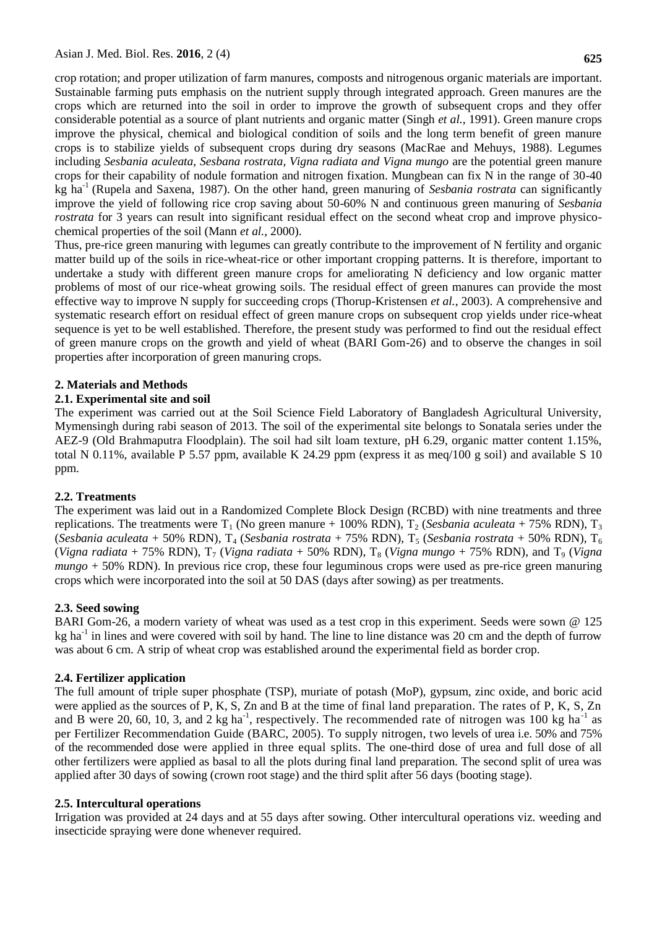crop rotation; and proper utilization of farm manures, composts and nitrogenous organic materials are important. Sustainable farming puts emphasis on the nutrient supply through integrated approach. Green manures are the crops which are returned into the soil in order to improve the growth of subsequent crops and they offer considerable potential as a source of plant nutrients and organic matter (Singh *et al.,* 1991). Green manure crops improve the physical, chemical and biological condition of soils and the long term benefit of green manure crops is to stabilize yields of subsequent crops during dry seasons (MacRae and Mehuys, 1988). Legumes including *Sesbania aculeata, Sesbana rostrata, Vigna radiata and Vigna mungo* are the potential green manure crops for their capability of nodule formation and nitrogen fixation. Mungbean can fix N in the range of 30-40 kg ha-1 (Rupela and Saxena, 1987). On the other hand, green manuring of *Sesbania rostrata* can significantly improve the yield of following rice crop saving about 50-60% N and continuous green manuring of *Sesbania rostrata* for 3 years can result into significant residual effect on the second wheat crop and improve physicochemical properties of the soil (Mann *et al.,* 2000).

Thus, pre-rice green manuring with legumes can greatly contribute to the improvement of N fertility and organic matter build up of the soils in rice-wheat-rice or other important cropping patterns. It is therefore, important to undertake a study with different green manure crops for ameliorating N deficiency and low organic matter problems of most of our rice-wheat growing soils. The residual effect of green manures can provide the most effective way to improve N supply for succeeding crops (Thorup-Kristensen *et al.*, 2003). A comprehensive and systematic research effort on residual effect of green manure crops on subsequent crop yields under rice-wheat sequence is yet to be well established. Therefore, the present study was performed to find out the residual effect of green manure crops on the growth and yield of wheat (BARI Gom-26) and to observe the changes in soil properties after incorporation of green manuring crops.

### **2. Materials and Methods**

### **2.1. Experimental site and soil**

The experiment was carried out at the Soil Science Field Laboratory of Bangladesh Agricultural University, Mymensingh during rabi season of 2013. The soil of the experimental site belongs to Sonatala series under the AEZ-9 (Old Brahmaputra Floodplain). The soil had silt loam texture, pH 6.29, organic matter content 1.15%, total N 0.11%, available P 5.57 ppm, available K 24.29 ppm (express it as meq/100 g soil) and available S 10 ppm.

#### **2.2. Treatments**

The experiment was laid out in a Randomized Complete Block Design (RCBD) with nine treatments and three replications. The treatments were  $T_1$  (No green manure + 100% RDN),  $T_2$  (*Sesbania aculeata* + 75% RDN),  $T_3$ (*Sesbania aculeata* + 50% RDN), T<sup>4</sup> (*Sesbania rostrata* + 75% RDN), T<sup>5</sup> (*Sesbania rostrata* + 50% RDN), T<sup>6</sup> (*Vigna radiata* + 75% RDN),  $T_7$  (*Vigna radiata* + 50% RDN),  $T_8$  (*Vigna mungo* + 75% RDN), and  $T_9$  (*Vigna mungo* + 50% RDN). In previous rice crop, these four leguminous crops were used as pre-rice green manuring crops which were incorporated into the soil at 50 DAS (days after sowing) as per treatments.

#### **2.3. Seed sowing**

BARI Gom-26, a modern variety of wheat was used as a test crop in this experiment. Seeds were sown @ 125 kg ha<sup>-1</sup> in lines and were covered with soil by hand. The line to line distance was 20 cm and the depth of furrow was about 6 cm. A strip of wheat crop was established around the experimental field as border crop.

#### **2.4. Fertilizer application**

The full amount of triple super phosphate (TSP), muriate of potash (MoP), gypsum, zinc oxide, and boric acid were applied as the sources of P, K, S, Zn and B at the time of final land preparation. The rates of P, K, S, Zn and B were 20, 60, 10, 3, and 2 kg ha<sup>-1</sup>, respectively. The recommended rate of nitrogen was 100 kg ha<sup>-1</sup> as per Fertilizer Recommendation Guide (BARC, 2005). To supply nitrogen, two levels of urea i.e. 50% and 75% of the recommended dose were applied in three equal splits. The one-third dose of urea and full dose of all other fertilizers were applied as basal to all the plots during final land preparation. The second split of urea was applied after 30 days of sowing (crown root stage) and the third split after 56 days (booting stage).

#### **2.5. Intercultural operations**

Irrigation was provided at 24 days and at 55 days after sowing. Other intercultural operations viz. weeding and insecticide spraying were done whenever required.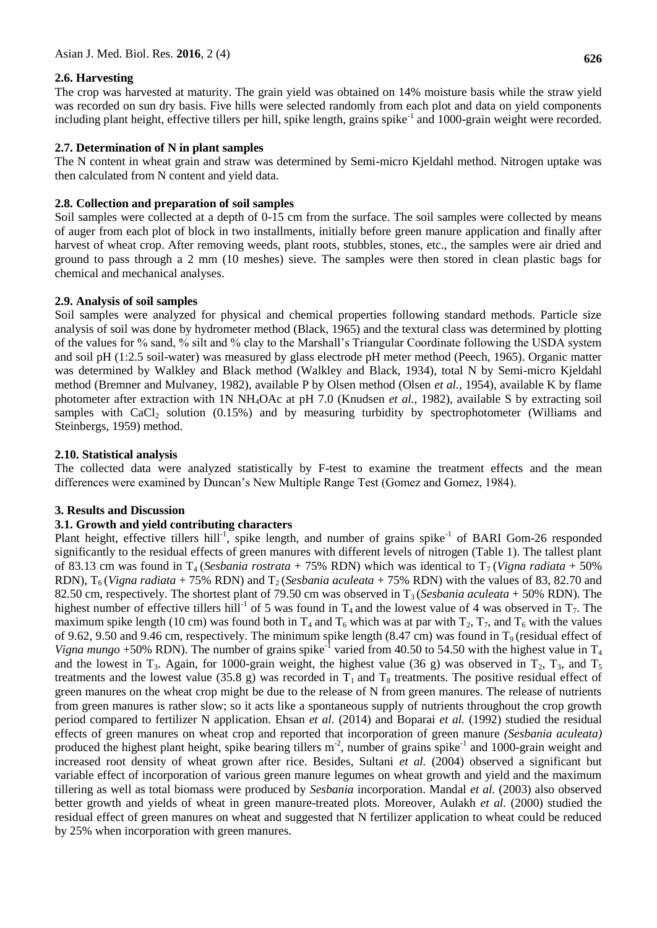## **2.6. Harvesting**

The crop was harvested at maturity. The grain yield was obtained on 14% moisture basis while the straw yield was recorded on sun dry basis. Five hills were selected randomly from each plot and data on yield components including plant height, effective tillers per hill, spike length, grains spike<sup>-1</sup> and 1000-grain weight were recorded.

## **2.7. Determination of N in plant samples**

The N content in wheat grain and straw was determined by Semi-micro Kjeldahl method. Nitrogen uptake was then calculated from N content and yield data.

## **2.8. Collection and preparation of soil samples**

Soil samples were collected at a depth of 0-15 cm from the surface. The soil samples were collected by means of auger from each plot of block in two installments, initially before green manure application and finally after harvest of wheat crop. After removing weeds, plant roots, stubbles, stones, etc., the samples were air dried and ground to pass through a 2 mm (10 meshes) sieve. The samples were then stored in clean plastic bags for chemical and mechanical analyses.

## **2.9. Analysis of soil samples**

Soil samples were analyzed for physical and chemical properties following standard methods. Particle size analysis of soil was done by hydrometer method (Black, 1965) and the textural class was determined by plotting of the values for % sand, % silt and % clay to the Marshall's Triangular Coordinate following the USDA system and soil pH (1:2.5 soil-water) was measured by glass electrode pH meter method (Peech, 1965). Organic matter was determined by Walkley and Black method (Walkley and Black, 1934), total N by Semi-micro Kjeldahl method (Bremner and Mulvaney, 1982), available P by Olsen method (Olsen *et al.*, 1954), available K by flame photometer after extraction with 1N NH4OAc at pH 7.0 (Knudsen *et al.*, 1982), available S by extracting soil samples with  $CaCl<sub>2</sub>$  solution (0.15%) and by measuring turbidity by spectrophotometer (Williams and Steinbergs, 1959) method.

## **2.10. Statistical analysis**

The collected data were analyzed statistically by F-test to examine the treatment effects and the mean differences were examined by Duncan's New Multiple Range Test (Gomez and Gomez, 1984).

### **3. Results and Discussion**

### **3.1. Growth and yield contributing characters**

Plant height, effective tillers hill<sup>-1</sup>, spike length, and number of grains spike<sup>-1</sup> of BARI Gom-26 responded significantly to the residual effects of green manures with different levels of nitrogen (Table 1). The tallest plant of 83.13 cm was found in  $T_4$  (*Sesbania rostrata* + 75% RDN) which was identical to  $T_7$  (*Vigna radiata* + 50% RDN),  $T_6$  (*Vigna radiata* + 75% RDN) and  $T_2$  (*Sesbania aculeata* + 75% RDN) with the values of 83, 82.70 and 82.50 cm, respectively. The shortest plant of 79.50 cm was observed in  $T_3$  (*Sesbania aculeata* + 50% RDN). The highest number of effective tillers hill<sup>-1</sup> of 5 was found in  $T_4$  and the lowest value of 4 was observed in  $T_7$ . The maximum spike length (10 cm) was found both in  $T_4$  and  $T_6$  which was at par with  $T_2$ ,  $T_7$ , and  $T_6$  with the values of 9.62, 9.50 and 9.46 cm, respectively. The minimum spike length (8.47 cm) was found in  $T<sub>9</sub>$  (residual effect of Vigna mungo +50% RDN). The number of grains spike<sup>-1</sup> varied from 40.50 to 54.50 with the highest value in T<sub>4</sub> and the lowest in T<sub>3</sub>. Again, for 1000-grain weight, the highest value (36 g) was observed in T<sub>2</sub>, T<sub>3</sub>, and T<sub>5</sub> treatments and the lowest value (35.8 g) was recorded in  $T_1$  and  $T_8$  treatments. The positive residual effect of green manures on the wheat crop might be due to the release of N from green manures. The release of nutrients from green manures is rather slow; so it acts like a spontaneous supply of nutrients throughout the crop growth period compared to fertilizer N application. Ehsan *et al.* (2014) and Boparai *et al.* (1992) studied the residual effects of green manures on wheat crop and reported that incorporation of green manure *(Sesbania aculeata)* produced the highest plant height, spike bearing tillers m<sup>-2</sup>, number of grains spike<sup>-1</sup> and 1000-grain weight and increased root density of wheat grown after rice. Besides, Sultani *et al.* (2004) observed a significant but variable effect of incorporation of various green manure legumes on wheat growth and yield and the maximum tillering as well as total biomass were produced by *Sesbania* incorporation. Mandal *et al.* (2003) also observed better growth and yields of wheat in green manure-treated plots. Moreover, Aulakh *et al.* (2000) studied the residual effect of green manures on wheat and suggested that N fertilizer application to wheat could be reduced by 25% when incorporation with green manures.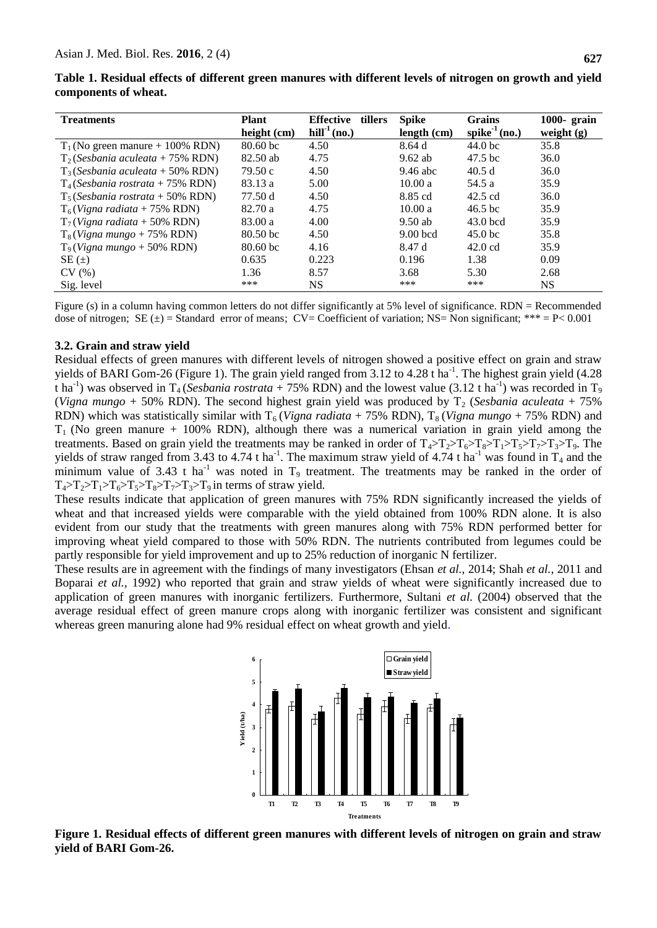| Table 1. Residual effects of different green manures with different levels of nitrogen on growth and yield |  |  |
|------------------------------------------------------------------------------------------------------------|--|--|
| components of wheat.                                                                                       |  |  |

| <b>Treatments</b>                   | <b>Plant</b><br>height (cm) | <b>Effective</b><br>tillers<br>$\text{hill}^{-1}$ (no.) | <b>Spike</b><br>length (cm) | Grains<br>spike $1$ (no.) | 1000- grain<br>weight $(g)$ |
|-------------------------------------|-----------------------------|---------------------------------------------------------|-----------------------------|---------------------------|-----------------------------|
| $T_1$ (No green manure + 100% RDN)  | $80.60$ bc                  | 4.50                                                    | 8.64d                       | 44.0 <sub>bc</sub>        | 35.8                        |
| $T_2$ (Sesbania aculeata + 75% RDN) | $82.50$ ab                  | 4.75                                                    | $9.62$ ab                   | $47.5$ bc                 | 36.0                        |
| $T_3$ (Sesbania aculeata + 50% RDN) | 79.50c                      | 4.50                                                    | $9.46$ abc                  | 40.5d                     | 36.0                        |
| $T_4$ (Sesbania rostrata + 75% RDN) | 83.13 a                     | 5.00                                                    | 10.00a                      | 54.5 a                    | 35.9                        |
| $T_5$ (Sesbania rostrata + 50% RDN) | 77.50 d                     | 4.50                                                    | 8.85 cd                     | $42.5 \text{ cd}$         | 36.0                        |
| $T_6$ (Vigna radiata + 75% RDN)     | 82.70 a                     | 4.75                                                    | 10.00a                      | $46.5$ bc                 | 35.9                        |
| $T_7$ (Vigna radiata + 50% RDN)     | 83.00 a                     | 4.00                                                    | $9.50$ ab                   | $43.0$ bcd                | 35.9                        |
| $T_8(Vigna mungo + 75\% RDN)$       | 80.50 <sub>bc</sub>         | 4.50                                                    | $9.00$ bcd                  | 45.0 <sub>bc</sub>        | 35.8                        |
| $T9(Vigna mungo + 50\% RDN)$        | $80.60 \,\mathrm{bc}$       | 4.16                                                    | 8.47 d                      | $42.0 \text{ cd}$         | 35.9                        |
| $SE(\pm)$                           | 0.635                       | 0.223                                                   | 0.196                       | 1.38                      | 0.09                        |
| CV(%)                               | 1.36                        | 8.57                                                    | 3.68                        | 5.30                      | 2.68                        |
| Sig. level                          | ***                         | NS.                                                     | ***                         | ***                       | NS.                         |

Figure (s) in a column having common letters do not differ significantly at 5% level of significance. RDN = Recommended dose of nitrogen; SE  $(\pm)$  = Standard error of means; CV= Coefficient of variation; NS= Non significant; \*\*\* = P< 0.001

#### **3.2. Grain and straw yield**

Residual effects of green manures with different levels of nitrogen showed a positive effect on grain and straw yields of BARI Gom-26 (Figure 1). The grain yield ranged from 3.12 to 4.28 t ha<sup>-1</sup>. The highest grain yield (4.28 t ha<sup>-1</sup>) was observed in T<sub>4</sub> (*Sesbania rostrata* + 75% RDN) and the lowest value (3.12 t ha<sup>-1</sup>) was recorded in T<sub>9</sub> (*Vigna mungo* + 50% RDN). The second highest grain yield was produced by  $T_2$  (*Sesbania aculeata* + 75%) RDN) which was statistically similar with  $T_6$  (*Vigna radiata* + 75% RDN),  $T_8$  (*Vigna mungo* + 75% RDN) and  $T_1$  (No green manure + 100% RDN), although there was a numerical variation in grain yield among the treatments. Based on grain yield the treatments may be ranked in order of  $T_4 > T_2 > T_6 > T_8 > T_1 > T_5 > T_7 > T_3 > T_9$ . The yields of straw ranged from 3.43 to 4.74 t ha<sup>-1</sup>. The maximum straw yield of 4.74 t ha<sup>-1</sup> was found in T<sub>4</sub> and the minimum value of 3.43 t ha<sup>-1</sup> was noted in  $T_9$  treatment. The treatments may be ranked in the order of  $T_4 > T_2 > T_1 > T_6 > T_5 > T_8 > T_7 > T_3 > T_9$  in terms of straw yield.

These results indicate that application of green manures with 75% RDN significantly increased the yields of wheat and that increased yields were comparable with the yield obtained from 100% RDN alone. It is also evident from our study that the treatments with green manures along with 75% RDN performed better for improving wheat yield compared to those with 50% RDN. The nutrients contributed from legumes could be partly responsible for yield improvement and up to 25% reduction of inorganic N fertilizer.

These results are in agreement with the findings of many investigators (Ehsan *et al.,* 2014; Shah *et al.,* 2011 and Boparai *et al.,* 1992) who reported that grain and straw yields of wheat were significantly increased due to application of green manures with inorganic fertilizers. Furthermore, Sultani *et al.* (2004) observed that the average residual effect of green manure crops along with inorganic fertilizer was consistent and significant whereas green manuring alone had 9% residual effect on wheat growth and yield.



**Figure 1. Residual effects of different green manures with different levels of nitrogen on grain and straw yield of BARI Gom-26.**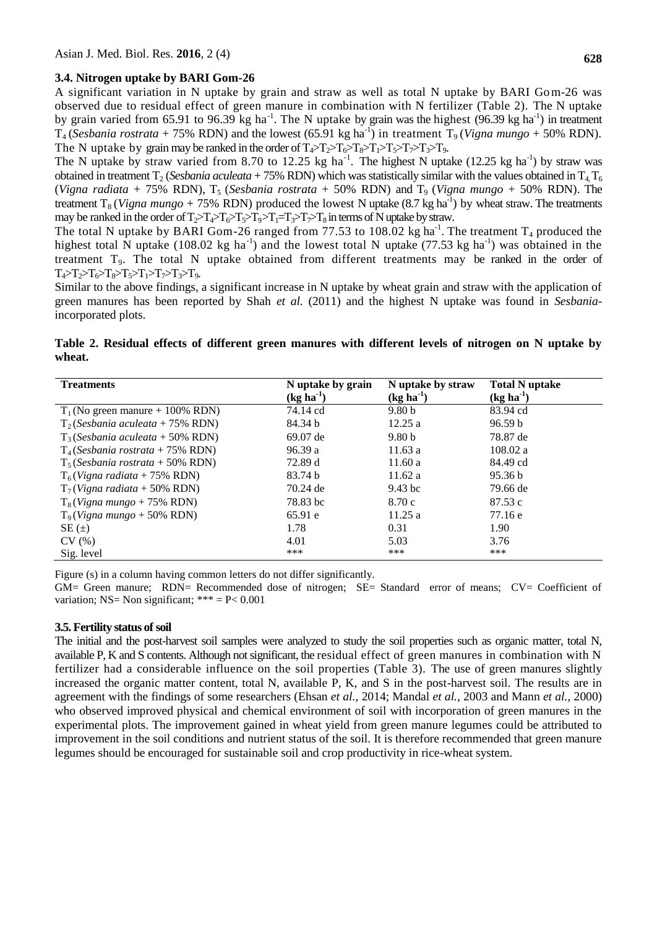#### **3.4. Nitrogen uptake by BARI Gom-26**

A significant variation in N uptake by grain and straw as well as total N uptake by BARI Gom-26 was observed due to residual effect of green manure in combination with N fertilizer (Table 2). The N uptake by grain varied from 65.91 to 96.39 kg ha<sup>-1</sup>. The N uptake by grain was the highest (96.39 kg ha<sup>-1</sup>) in treatment  $T_4$  (*Sesbania rostrata* + 75% RDN) and the lowest (65.91 kg ha<sup>-1</sup>) in treatment  $T_9$  (*Vigna mungo* + 50% RDN). The N uptake by grain may be ranked in the order of  $T_4 > T_1 > T_6 > T_1 > T_7 > T_7 > T_9$ .

The N uptake by straw varied from 8.70 to 12.25 kg ha<sup>-1</sup>. The highest N uptake (12.25 kg ha<sup>-1</sup>) by straw was obtained in treatment T<sub>2</sub> (*Sesbania aculeata* + 75% RDN) which was statistically similar with the values obtained in T<sub>4</sub> T<sub>6</sub> (*Vigna radiata* + 75% RDN),  $T_5$  (*Sesbania rostrata* + 50% RDN) and  $T_9$  (*Vigna mungo* + 50% RDN). The treatment  $T_8 (Vigna mungo + 75\% RDN)$  produced the lowest N uptake  $(8.7 \text{ kg ha}^{-1})$  by wheat straw. The treatments may be ranked in the order of  $T_2>T_4\rightarrow T_6\rightarrow T_5\rightarrow T_9\rightarrow T_1=T_3\rightarrow T_8$  in terms of N uptake by straw.

The total N uptake by BARI Gom-26 ranged from 77.53 to 108.02 kg ha<sup>-1</sup>. The treatment  $T_4$  produced the highest total N uptake (108.02 kg ha<sup>-1</sup>) and the lowest total N uptake (77.53 kg ha<sup>-1</sup>) was obtained in the treatment  $T<sub>9</sub>$ . The total N uptake obtained from different treatments may be ranked in the order of  $T_4 > T_2 > T_6 > T_8 > T_5 > T_1 > T_7 > T_3 > T_9.$ 

Similar to the above findings, a significant increase in N uptake by wheat grain and straw with the application of green manures has been reported by Shah *et al.* (2011) and the highest N uptake was found in *Sesbania*incorporated plots.

# **Table 2. Residual effects of different green manures with different levels of nitrogen on N uptake by wheat.**

| <b>Treatments</b>                   | N uptake by grain<br>$(kg ha-1)$ | N uptake by straw<br>$(kg ha-1)$ | <b>Total N</b> uptake<br>$(kg ha-1)$ |
|-------------------------------------|----------------------------------|----------------------------------|--------------------------------------|
| $T_1$ (No green manure + 100% RDN)  | 74.14 cd                         | 9.80 <sub>b</sub>                | 83.94 cd                             |
| $T_2$ (Sesbania aculeata + 75% RDN) | 84.34 b                          | 12.25a                           | 96.59 <sub>b</sub>                   |
| $T_3$ (Sesbania aculeata + 50% RDN) | 69.07 de                         | 9.80 <sub>b</sub>                | 78.87 de                             |
| $T_4$ (Sesbania rostrata + 75% RDN) | 96.39a                           | 11.63a                           | 108.02 a                             |
| $T_5$ (Sesbania rostrata + 50% RDN) | 72.89 d                          | 11.60a                           | 84.49 cd                             |
| $T_6$ (Vigna radiata + 75% RDN)     | 83.74 b                          | 11.62 a                          | 95.36 b                              |
| $T_7$ (Vigna radiata + 50% RDN)     | 70.24 de                         | $9.43~\mathrm{bc}$               | 79.66 de                             |
| $T_8(Vigna mungo + 75\% RDN)$       | 78.83 bc                         | 8.70 c                           | 87.53c                               |
| $T9(Vigna mungo + 50\% RDN)$        | 65.91 e                          | 11.25a                           | 77.16 e                              |
| $SE(\pm)$                           | 1.78                             | 0.31                             | 1.90                                 |
| CV(%)                               | 4.01                             | 5.03                             | 3.76                                 |
| Sig. level                          | ***                              | ***                              | ***                                  |

Figure (s) in a column having common letters do not differ significantly.

GM= Green manure; RDN= Recommended dose of nitrogen; SE= Standard error of means; CV= Coefficient of variation; NS= Non significant; \*\*\* =  $P < 0.001$ 

#### **3.5. Fertility status of soil**

The initial and the post-harvest soil samples were analyzed to study the soil properties such as organic matter, total N, available P, K and S contents. Although not significant, the residual effect of green manures in combination with N fertilizer had a considerable influence on the soil properties (Table 3). The use of green manures slightly increased the organic matter content, total N, available P, K, and S in the post-harvest soil. The results are in agreement with the findings of some researchers (Ehsan *et al.,* 2014; Mandal *et al.,* 2003 and Mann *et al.,* 2000) who observed improved physical and chemical environment of soil with incorporation of green manures in the experimental plots. The improvement gained in wheat yield from green manure legumes could be attributed to improvement in the soil conditions and nutrient status of the soil. It is therefore recommended that green manure legumes should be encouraged for sustainable soil and crop productivity in rice-wheat system.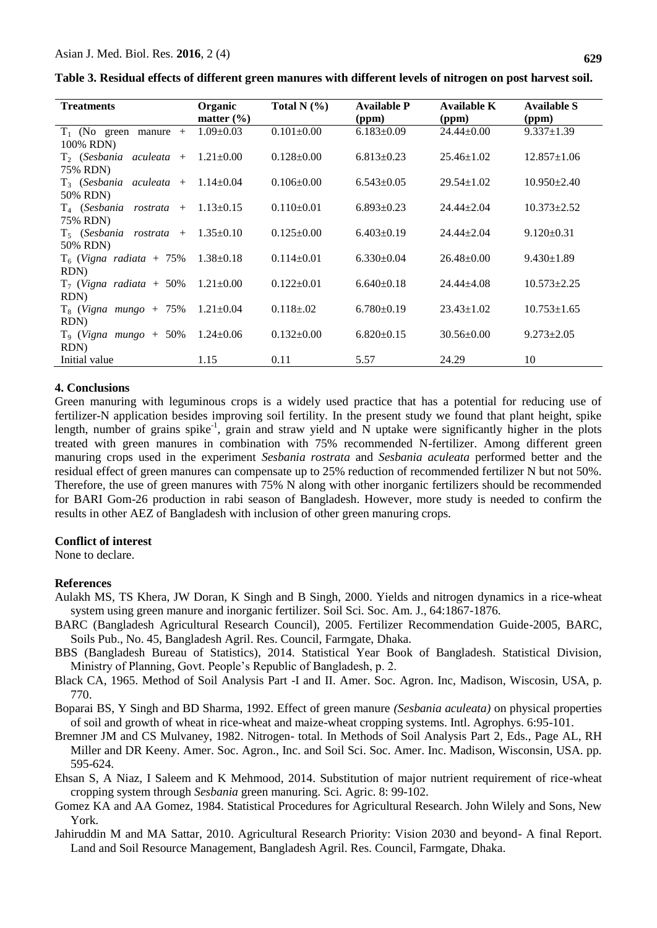| Table 3. Residual effects of different green manures with different levels of nitrogen on post harvest soil. |  |  |
|--------------------------------------------------------------------------------------------------------------|--|--|
|                                                                                                              |  |  |

| <b>Treatments</b>                          | Organic         | Total N $(\% )$  | <b>Available P</b> | Available K      | <b>Available S</b> |
|--------------------------------------------|-----------------|------------------|--------------------|------------------|--------------------|
|                                            | matter $(\% )$  |                  | (ppm)              | (ppm)            | (ppm)              |
| $T_1$ (No green manure +                   | $1.09 \pm 0.03$ | $0.101 \pm 0.00$ | $6.183 \pm 0.09$   | $24.44 \pm 0.00$ | $9.337 \pm 1.39$   |
| 100% RDN)                                  |                 |                  |                    |                  |                    |
| $T_2$ (Sesbania aculeata + 1.21 $\pm$ 0.00 |                 | $0.128 \pm 0.00$ | $6.813 \pm 0.23$   | $25.46 \pm 1.02$ | $12.857 \pm 1.06$  |
| 75% RDN)                                   |                 |                  |                    |                  |                    |
| $T_3$ (Sesbania aculeata + 1.14 $\pm$ 0.04 |                 | $0.106 \pm 0.00$ | $6.543 \pm 0.05$   | $29.54 \pm 1.02$ | $10.950 \pm 2.40$  |
| 50% RDN)                                   |                 |                  |                    |                  |                    |
| $T_4$ (Sesbania rostrata + 1.13 $\pm$ 0.15 |                 | $0.110\pm0.01$   | $6.893 \pm 0.23$   | $24.44 + 2.04$   | $10.373 \pm 2.52$  |
| 75% RDN)                                   |                 |                  |                    |                  |                    |
| $T_5$ (Sesbania rostrata +                 | $1.35 \pm 0.10$ | $0.125 \pm 0.00$ | $6.403 \pm 0.19$   | $24.44 + 2.04$   | $9.120 \pm 0.31$   |
| 50% RDN)                                   |                 |                  |                    |                  |                    |
| $T_6$ (Vigna radiata + 75% 1.38 $\pm$ 0.18 |                 | $0.114 \pm 0.01$ | $6.330 \pm 0.04$   | $26.48 \pm 0.00$ | $9.430 \pm 1.89$   |
| RDN)                                       |                 |                  |                    |                  |                    |
| $T_7$ (Vigna radiata + 50%                 | $1.21 \pm 0.00$ | $0.122 \pm 0.01$ | $6.640\pm0.18$     | $24.44 + 4.08$   | $10.573 \pm 2.25$  |
| RDN)                                       |                 |                  |                    |                  |                    |
| $T_8$ (Vigna mungo + 75% 1.21±0.04         |                 | $0.118 \pm 0.02$ | $6.780 \pm 0.19$   | $23.43 \pm 1.02$ | $10.753 \pm 1.65$  |
| RDN)                                       |                 |                  |                    |                  |                    |
| $T_9$ (Vigna mungo + 50%                   | $1.24 \pm 0.06$ | $0.132 \pm 0.00$ | $6.820 \pm 0.15$   | $30.56 \pm 0.00$ | $9.273 \pm 2.05$   |
| RDN)                                       |                 |                  |                    |                  |                    |
| Initial value                              | 1.15            | 0.11             | 5.57               | 24.29            | 10                 |

### **4. Conclusions**

Green manuring with leguminous crops is a widely used practice that has a potential for reducing use of fertilizer-N application besides improving soil fertility. In the present study we found that plant height, spike length, number of grains spike<sup>-1</sup>, grain and straw yield and N uptake were significantly higher in the plots treated with green manures in combination with 75% recommended N-fertilizer. Among different green manuring crops used in the experiment *Sesbania rostrata* and *Sesbania aculeata* performed better and the residual effect of green manures can compensate up to 25% reduction of recommended fertilizer N but not 50%. Therefore, the use of green manures with 75% N along with other inorganic fertilizers should be recommended for BARI Gom-26 production in rabi season of Bangladesh. However, more study is needed to confirm the results in other AEZ of Bangladesh with inclusion of other green manuring crops.

#### **Conflict of interest**

None to declare.

#### **References**

- Aulakh MS, TS Khera, JW Doran, K Singh and B Singh, 2000. Yields and nitrogen dynamics in a rice-wheat system using green manure and inorganic fertilizer. Soil Sci. Soc. Am. J., 64:1867-1876.
- BARC (Bangladesh Agricultural Research Council), 2005. Fertilizer Recommendation Guide-2005, BARC, Soils Pub., No. 45, Bangladesh Agril. Res. Council, Farmgate, Dhaka.
- BBS (Bangladesh Bureau of Statistics), 2014. Statistical Year Book of Bangladesh. Statistical Division, Ministry of Planning, Govt. People's Republic of Bangladesh, p. 2.
- Black CA, 1965. Method of Soil Analysis Part -I and II. Amer. Soc. Agron. Inc, Madison, Wiscosin, USA, p. 770.
- Boparai BS, Y Singh and BD Sharma, 1992. Effect of green manure *(Sesbania aculeata)* on physical properties of soil and growth of wheat in rice-wheat and maize-wheat cropping systems. Intl. Agrophys. 6:95-101.
- Bremner JM and CS Mulvaney, 1982. Nitrogen- total. In Methods of Soil Analysis Part 2, Eds., Page AL, RH Miller and DR Keeny. Amer. Soc. Agron., Inc. and Soil Sci. Soc. Amer. Inc. Madison, Wisconsin, USA. pp. 595-624.
- Ehsan S, A Niaz, I Saleem and K Mehmood, 2014. Substitution of major nutrient requirement of rice-wheat cropping system through *Sesbania* green manuring. Sci. Agric. 8: 99-102.
- Gomez KA and AA Gomez, 1984. Statistical Procedures for Agricultural Research. John Wilely and Sons, New York.
- Jahiruddin M and MA Sattar, 2010. Agricultural Research Priority: Vision 2030 and beyond- A final Report. Land and Soil Resource Management, Bangladesh Agril. Res. Council, Farmgate, Dhaka.